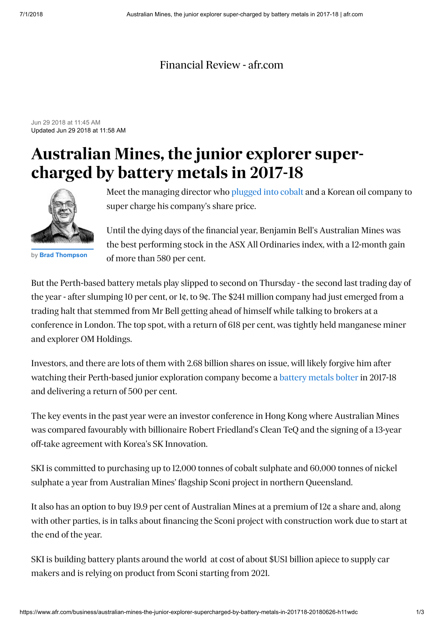## [Financial Review - afr.com](https://www.afr.com/)

Jun 29 2018 at 11:45 AM Updated Jun 29 2018 at 11:58 AM

## **Australian Mines, the junior explorer supercharged by battery metals in 2017-18**



by **[Brad Thompson](https://www.afr.com/business/brad-thompson-gyvn7t.html)**

Meet the managing director who [plugged into cobalt](https://www.afr.com/business/mining/tesla-leads-electric-vehicle-race-to-cut-cobalt-dependency-20180607-h113bi) and a Korean oil company to super charge his company's share price.

Until the dying days of the financial year, Benjamin Bell's Australian Mines was the best performing stock in the ASX All Ordinaries index, with a 12-month gain of more than 580 per cent.

But the Perth-based battery metals play slipped to second on Thursday - the second last trading day of the year - after slumping 10 per cent, or 1¢, to 9¢. The \$241 million company had just emerged from a trading halt that stemmed from Mr Bell getting ahead of himself while talking to brokers at a conference in London. The top spot, with a return of 618 per cent, was tightly held manganese miner and explorer OM Holdings.

Investors, and there are lots of them with 2.68 billion shares on issue, will likely forgive him after watching their Perth-based junior exploration company become a [battery metals bolter](https://www.afr.com/markets/citi-sees-10pc-battery-electric-vehicle-market-share-by-2030-20180611-h118ct) in 2017-18 and delivering a return of 500 per cent.

The key events in the past year were an investor conference in Hong Kong where Australian Mines was compared favourably with billionaire Robert Friedland's Clean TeQ and the signing of a 13-year off-take agreement with Korea's SK Innovation.

SKI is committed to purchasing up to 12,000 tonnes of cobalt sulphate and 60,000 tonnes of nickel sulphate a year from Australian Mines' flagship Sconi project in northern Queensland.

It also has an option to buy 19.9 per cent of Australian Mines at a premium of 12¢ a share and, along with other parties, is in talks about financing the Sconi project with construction work due to start at the end of the year.

SKI is building battery plants around the world at cost of about \$US1 billion apiece to supply car makers and is relying on product from Sconi starting from 2021.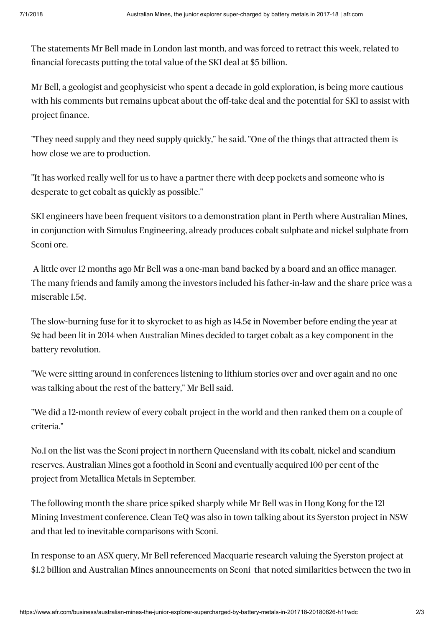The statements Mr Bell made in London last month, and was forced to retract this week, related to financial forecasts putting the total value of the SKI deal at \$5 billion.

Mr Bell, a geologist and geophysicist who spent a decade in gold exploration, is being more cautious with his comments but remains upbeat about the off-take deal and the potential for SKI to assist with project finance.

"They need supply and they need supply quickly," he said. "One of the things that attracted them is how close we are to production.

"It has worked really well for us to have a partner there with deep pockets and someone who is desperate to get cobalt as quickly as possible."

SKI engineers have been frequent visitors to a demonstration plant in Perth where Australian Mines, in conjunction with Simulus Engineering, already produces cobalt sulphate and nickel sulphate from Sconi ore.

 A little over 12 months ago Mr Bell was a one-man band backed by a board and an office manager. The many friends and family among the investors included his father-in-law and the share price was a miserable 1.5¢.

The slow-burning fuse for it to skyrocket to as high as 14.5¢ in November before ending the year at 9¢ had been lit in 2014 when Australian Mines decided to target cobalt as a key component in the battery revolution.

"We were sitting around in conferences listening to lithium stories over and over again and no one was talking about the rest of the battery," Mr Bell said.

"We did a 12-month review of every cobalt project in the world and then ranked them on a couple of criteria."

No.1 on the list was the Sconi project in northern Queensland with its cobalt, nickel and scandium reserves. Australian Mines got a foothold in Sconi and eventually acquired 100 per cent of the project from Metallica Metals in September.

The following month the share price spiked sharply while Mr Bell was in Hong Kong for the 121 Mining Investment conference. Clean TeQ was also in town talking about its Syerston project in NSW and that led to inevitable comparisons with Sconi.

In response to an ASX query, Mr Bell referenced Macquarie research valuing the Syerston project at \$1.2 billion and Australian Mines announcements on Sconi that noted similarities between the two in